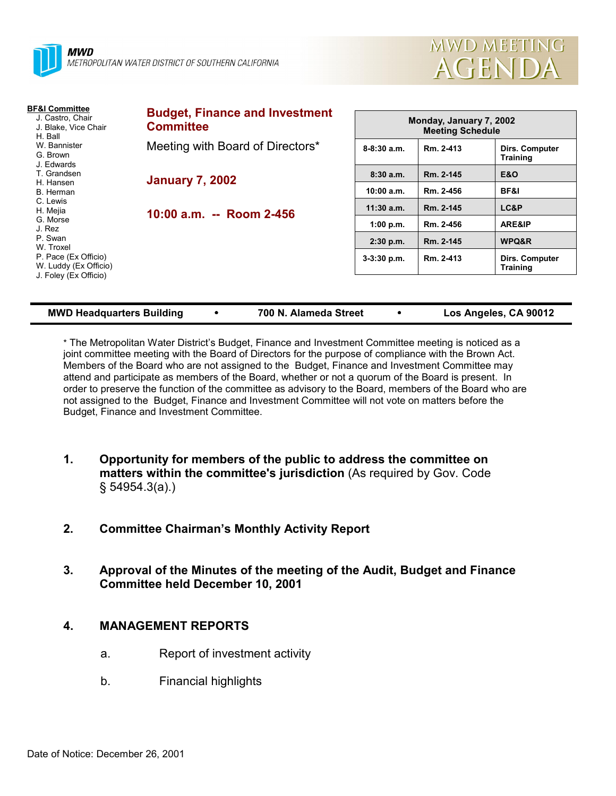



| <b>BF&amp;I Committee</b><br>J. Castro, Chair<br>J. Blake, Vice Chair<br>H. Ball | <b>Budget, Finance and Investment</b><br><b>Committee</b> | Monday, January 7, 2002<br><b>Meeting Schedule</b> |           |                                   |
|----------------------------------------------------------------------------------|-----------------------------------------------------------|----------------------------------------------------|-----------|-----------------------------------|
| W. Bannister<br>G. Brown<br>J. Edwards                                           | Meeting with Board of Directors*                          | $8-8:30$ a.m.                                      | Rm. 2-413 | Dirs. Computer<br><b>Training</b> |
| T. Grandsen                                                                      | <b>January 7, 2002</b><br>10:00 a.m. -- Room 2-456        | 8:30a.m.                                           | Rm. 2-145 | <b>E&amp;O</b>                    |
| H. Hansen<br>B. Herman                                                           |                                                           | 10:00 a.m.                                         | Rm. 2-456 | <b>BF&amp;I</b>                   |
| C. Lewis<br>H. Mejia                                                             |                                                           | $11:30$ a.m.                                       | Rm. 2-145 | LC&P                              |
| G. Morse<br>J. Rez                                                               |                                                           | 1:00 p.m.                                          | Rm. 2-456 | ARE&IP                            |
| P. Swan<br>W. Troxel                                                             |                                                           | $2:30$ p.m.                                        | Rm. 2-145 | WPQ&R                             |
| P. Pace (Ex Officio)<br>W. Luddy (Ex Officio)<br>J. Foley (Ex Officio)           |                                                           | $3-3:30$ p.m.                                      | Rm. 2-413 | Dirs. Computer<br><b>Training</b> |
|                                                                                  |                                                           |                                                    |           |                                   |

| <b>MWD Headquarters Building</b> |  |
|----------------------------------|--|
|----------------------------------|--|

**MMB 100 N. Alameda Street 100 N. Alameda Street 100 N. Alameda Street 100 N. Alameda Street 100 N. Alameda Street 100 N. Alameda Street 100 N. Alameda Street 100 N. Alameda Street 100 N. Alameda Street 100 N. Alameda Stre** 

\* The Metropolitan Water Districtís Budget, Finance and Investment Committee meeting is noticed as a joint committee meeting with the Board of Directors for the purpose of compliance with the Brown Act. Members of the Board who are not assigned to the Budget, Finance and Investment Committee may attend and participate as members of the Board, whether or not a quorum of the Board is present. In order to preserve the function of the committee as advisory to the Board, members of the Board who are not assigned to the Budget, Finance and Investment Committee will not vote on matters before the Budget, Finance and Investment Committee.

- **1. Opportunity for members of the public to address the committee on matters within the committee's jurisdiction** (As required by Gov. Code ß 54954.3(a).)
- **2. Committee Chairmanís Monthly Activity Report**
- **3. Approval of the Minutes of the meeting of the Audit, Budget and Finance Committee held December 10, 2001**

#### **4. MANAGEMENT REPORTS**

- a. Report of investment activity
- b. Financial highlights